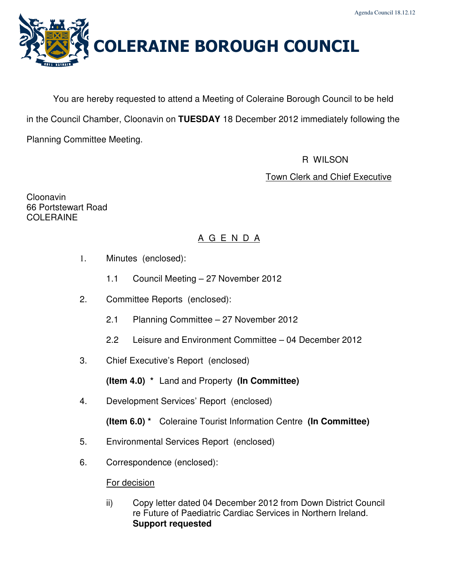

You are hereby requested to attend a Meeting of Coleraine Borough Council to be held in the Council Chamber, Cloonavin on **TUESDAY** 18 December 2012 immediately following the Planning Committee Meeting.

R WILSON

Town Clerk and Chief Executive

Cloonavin 66 Portstewart Road COLERAINE

# A G E N D A

- 1. Minutes (enclosed):
	- 1.1 Council Meeting 27 November 2012
- 2. Committee Reports (enclosed):
	- 2.1 Planning Committee 27 November 2012
	- 2.2 Leisure and Environment Committee 04 December 2012
- 3. Chief Executive's Report (enclosed)

**(Item 4.0) \*** Land and Property **(In Committee)** 

- 4. Development Services' Report (enclosed)
	- **(Item 6.0) \*** Coleraine Tourist Information Centre **(In Committee)**
- 5. Environmental Services Report (enclosed)
- 6. Correspondence (enclosed):

# For decision

ii) Copy letter dated 04 December 2012 from Down District Council re Future of Paediatric Cardiac Services in Northern Ireland. **Support requested**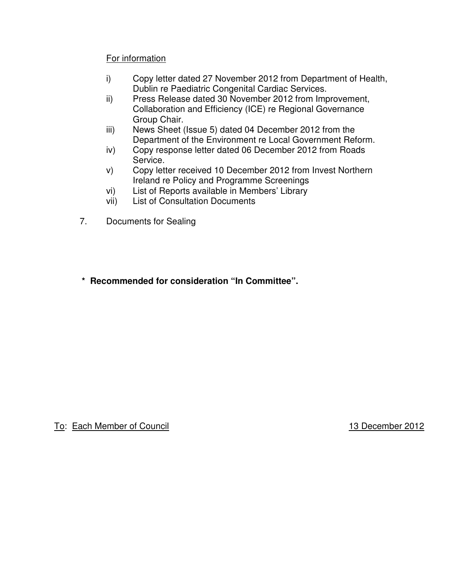# For information

- i) Copy letter dated 27 November 2012 from Department of Health, Dublin re Paediatric Congenital Cardiac Services.
- ii) Press Release dated 30 November 2012 from Improvement, Collaboration and Efficiency (ICE) re Regional Governance Group Chair.
- iii) News Sheet (Issue 5) dated 04 December 2012 from the Department of the Environment re Local Government Reform.
- iv) Copy response letter dated 06 December 2012 from Roads Service.
- v) Copy letter received 10 December 2012 from Invest Northern Ireland re Policy and Programme Screenings
- vi) List of Reports available in Members' Library
- vii) List of Consultation Documents
- 7. Documents for Sealing
- **\* Recommended for consideration "In Committee".**

To: Each Member of Council **13 December 2012**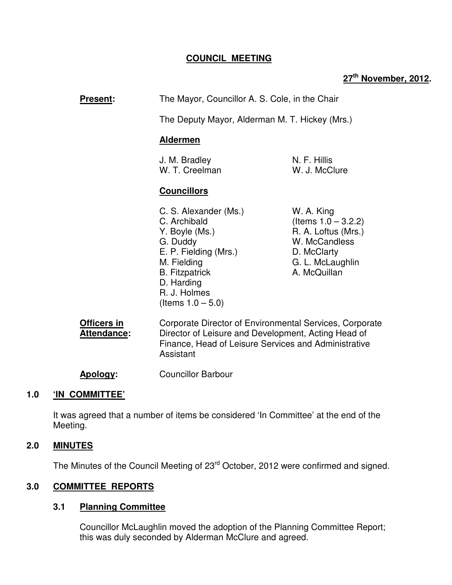# **COUNCIL MEETING**

# **27th November, 2012.**

| The Mayor, Councillor A. S. Cole, in the Chair<br><b>Present:</b> |                                                                                                                                                                                            |                                                                                                                                 |  |
|-------------------------------------------------------------------|--------------------------------------------------------------------------------------------------------------------------------------------------------------------------------------------|---------------------------------------------------------------------------------------------------------------------------------|--|
|                                                                   | The Deputy Mayor, Alderman M. T. Hickey (Mrs.)                                                                                                                                             |                                                                                                                                 |  |
|                                                                   | <b>Aldermen</b>                                                                                                                                                                            |                                                                                                                                 |  |
|                                                                   | J. M. Bradley<br>W. T. Creelman                                                                                                                                                            | N. F. Hillis<br>W. J. McClure                                                                                                   |  |
|                                                                   | <b>Councillors</b>                                                                                                                                                                         |                                                                                                                                 |  |
|                                                                   | C. S. Alexander (Ms.)<br>C. Archibald<br>Y. Boyle (Ms.)<br>G. Duddy<br>E. P. Fielding (Mrs.)<br>M. Fielding<br><b>B.</b> Fitzpatrick<br>D. Harding<br>R. J. Holmes<br>(Items $1.0 - 5.0$ ) | W. A. King<br>(Items $1.0 - 3.2.2$ )<br>R. A. Loftus (Mrs.)<br>W. McCandless<br>D. McClarty<br>G. L. McLaughlin<br>A. McQuillan |  |
| <b>Officers in</b><br><b>Attendance:</b>                          | Corporate Director of Environmental Services, Corporate<br>Director of Leisure and Development, Acting Head of<br>Finance, Head of Leisure Services and Administrative                     |                                                                                                                                 |  |

**Apology:** Councillor Barbour

Assistant

## **1.0 'IN COMMITTEE'**

 It was agreed that a number of items be considered 'In Committee' at the end of the Meeting.

#### **2.0 MINUTES**

The Minutes of the Council Meeting of 23<sup>rd</sup> October, 2012 were confirmed and signed.

## **3.0 COMMITTEE REPORTS**

## **3.1 Planning Committee**

Councillor McLaughlin moved the adoption of the Planning Committee Report; this was duly seconded by Alderman McClure and agreed.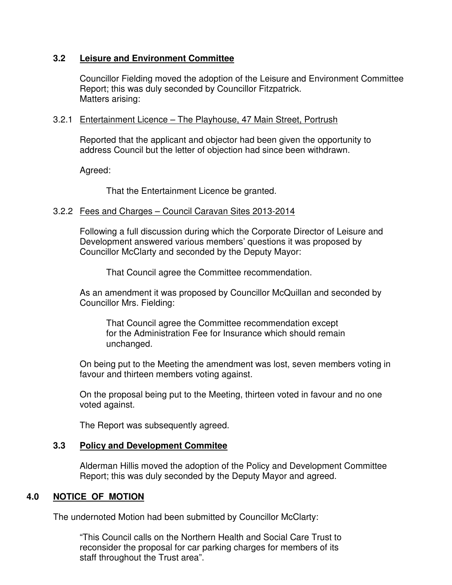## **3.2 Leisure and Environment Committee**

Councillor Fielding moved the adoption of the Leisure and Environment Committee Report; this was duly seconded by Councillor Fitzpatrick. Matters arising:

#### 3.2.1 Entertainment Licence – The Playhouse, 47 Main Street, Portrush

 Reported that the applicant and objector had been given the opportunity to address Council but the letter of objection had since been withdrawn.

Agreed:

That the Entertainment Licence be granted.

#### 3.2.2 Fees and Charges – Council Caravan Sites 2013-2014

 Following a full discussion during which the Corporate Director of Leisure and Development answered various members' questions it was proposed by Councillor McClarty and seconded by the Deputy Mayor:

That Council agree the Committee recommendation.

 As an amendment it was proposed by Councillor McQuillan and seconded by Councillor Mrs. Fielding:

 That Council agree the Committee recommendation except for the Administration Fee for Insurance which should remain unchanged.

 On being put to the Meeting the amendment was lost, seven members voting in favour and thirteen members voting against.

 On the proposal being put to the Meeting, thirteen voted in favour and no one voted against.

The Report was subsequently agreed.

#### **3.3 Policy and Development Commitee**

 Alderman Hillis moved the adoption of the Policy and Development Committee Report; this was duly seconded by the Deputy Mayor and agreed.

## **4.0 NOTICE OF MOTION**

The undernoted Motion had been submitted by Councillor McClarty:

 "This Council calls on the Northern Health and Social Care Trust to reconsider the proposal for car parking charges for members of its staff throughout the Trust area".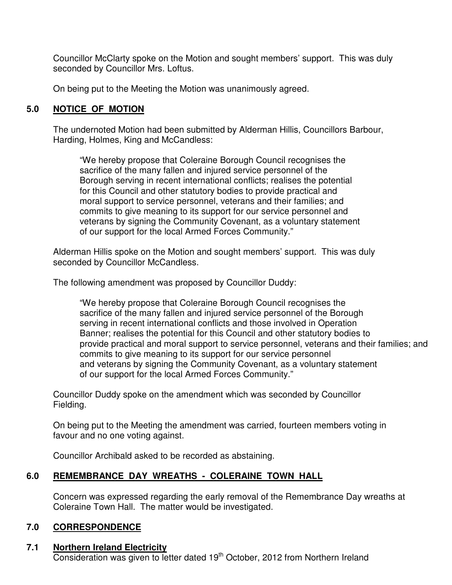Councillor McClarty spoke on the Motion and sought members' support. This was duly seconded by Councillor Mrs. Loftus.

On being put to the Meeting the Motion was unanimously agreed.

# **5.0 NOTICE OF MOTION**

 The undernoted Motion had been submitted by Alderman Hillis, Councillors Barbour, Harding, Holmes, King and McCandless:

"We hereby propose that Coleraine Borough Council recognises the sacrifice of the many fallen and injured service personnel of the Borough serving in recent international conflicts; realises the potential for this Council and other statutory bodies to provide practical and moral support to service personnel, veterans and their families; and commits to give meaning to its support for our service personnel and veterans by signing the Community Covenant, as a voluntary statement of our support for the local Armed Forces Community."

Alderman Hillis spoke on the Motion and sought members' support. This was duly seconded by Councillor McCandless.

The following amendment was proposed by Councillor Duddy:

"We hereby propose that Coleraine Borough Council recognises the sacrifice of the many fallen and injured service personnel of the Borough serving in recent international conflicts and those involved in Operation Banner; realises the potential for this Council and other statutory bodies to provide practical and moral support to service personnel, veterans and their families; and commits to give meaning to its support for our service personnel and veterans by signing the Community Covenant, as a voluntary statement of our support for the local Armed Forces Community."

Councillor Duddy spoke on the amendment which was seconded by Councillor Fielding.

On being put to the Meeting the amendment was carried, fourteen members voting in favour and no one voting against.

Councillor Archibald asked to be recorded as abstaining.

# **6.0 REMEMBRANCE DAY WREATHS - COLERAINE TOWN HALL**

Concern was expressed regarding the early removal of the Remembrance Day wreaths at Coleraine Town Hall. The matter would be investigated.

# **7.0 CORRESPONDENCE**

# **7.1 Northern Ireland Electricity**

Consideration was given to letter dated 19<sup>th</sup> October, 2012 from Northern Ireland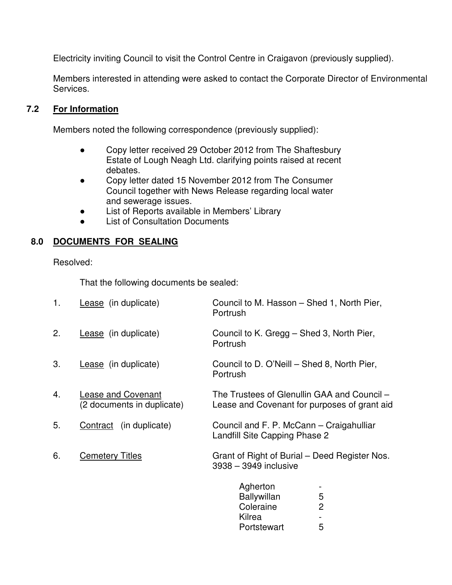Electricity inviting Council to visit the Control Centre in Craigavon (previously supplied).

Members interested in attending were asked to contact the Corporate Director of Environmental Services.

# **7.2 For Information**

Members noted the following correspondence (previously supplied):

- Copy letter received 29 October 2012 from The Shaftesbury Estate of Lough Neagh Ltd. clarifying points raised at recent debates.
- Copy letter dated 15 November 2012 from The Consumer Council together with News Release regarding local water and sewerage issues.
- List of Reports available in Members' Library
- List of Consultation Documents

# **8.0 DOCUMENTS FOR SEALING**

Resolved:

That the following documents be sealed:

| 1. | Lease (in duplicate)                             | Council to M. Hasson - Shed 1, North Pier,<br>Portrush                                           |
|----|--------------------------------------------------|--------------------------------------------------------------------------------------------------|
| 2. | Lease (in duplicate)                             | Council to K. Gregg – Shed 3, North Pier,<br>Portrush                                            |
| 3. | Lease (in duplicate)                             | Council to D. O'Neill – Shed 8, North Pier,<br>Portrush                                          |
| 4. | Lease and Covenant<br>(2 documents in duplicate) | The Trustees of Glenullin GAA and Council -<br>Lease and Covenant for purposes of grant aid      |
| 5. | Contract (in duplicate)                          | Council and F. P. McCann – Craigahulliar<br>Landfill Site Capping Phase 2                        |
| 6. | <b>Cemetery Titles</b>                           | Grant of Right of Burial – Deed Register Nos.<br>3938 - 3949 inclusive                           |
|    |                                                  | Agherton<br>5<br><b>Ballywillan</b><br>$\overline{2}$<br>Coleraine<br>Kilrea<br>5<br>Portstewart |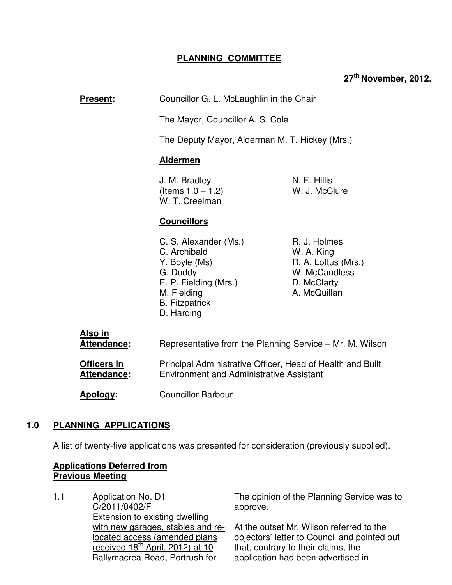# **PLANNING COMMITTEE**

# **27th November, 2012.**

**Present:** Councillor G. L. McLaughlin in the Chair

The Mayor, Councillor A. S. Cole

The Deputy Mayor, Alderman M. T. Hickey (Mrs.)

#### **Aldermen**

**J. M. Bradley N. F. Hillis**  $($ ltems  $1.0 - 1.2)$  W. J. McClure W. T. Creelman

## **Councillors**

- C. S. Alexander (Ms.) R. J. Holmes C. Archibald W. A. King Y. Boyle (Ms) R. A. Loftus (Mrs.) G. Duddy W. McCandless E. P. Fielding (Mrs.) D. McClarty M. Fielding **A. McQuillan**  B. Fitzpatrick D. Harding
- 

| Also in<br>Attendance:                   | Representative from the Planning Service – Mr. M. Wilson                                                      |  |
|------------------------------------------|---------------------------------------------------------------------------------------------------------------|--|
| <b>Officers in</b><br><b>Attendance:</b> | Principal Administrative Officer, Head of Health and Built<br><b>Environment and Administrative Assistant</b> |  |
| Apology:                                 | <b>Councillor Barbour</b>                                                                                     |  |

#### **1.0 PLANNING APPLICATIONS**

A list of twenty-five applications was presented for consideration (previously supplied).

#### **Applications Deferred from Previous Meeting**

1.1 Application No. D1 C/2011/0402/F Extension to existing dwelling with new garages, stables and relocated access (amended plans received  $18<sup>th</sup>$  April, 2012) at 10 Ballymacrea Road, Portrush for

The opinion of the Planning Service was to approve.

At the outset Mr. Wilson referred to the objectors' letter to Council and pointed out that, contrary to their claims, the application had been advertised in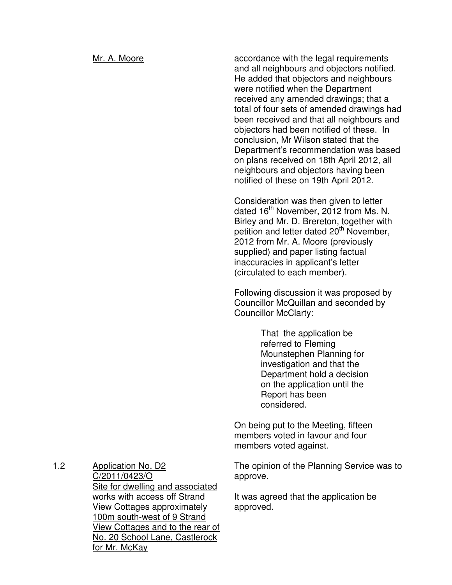Mr. A. Moore **accordance with the legal requirements** and all neighbours and objectors notified. He added that objectors and neighbours were notified when the Department received any amended drawings; that a total of four sets of amended drawings had been received and that all neighbours and objectors had been notified of these. In conclusion, Mr Wilson stated that the Department's recommendation was based on plans received on 18th April 2012, all neighbours and objectors having been notified of these on 19th April 2012.

> Consideration was then given to letter dated 16<sup>th</sup> November, 2012 from Ms. N. Birley and Mr. D. Brereton, together with petition and letter dated 20<sup>th</sup> November, 2012 from Mr. A. Moore (previously supplied) and paper listing factual inaccuracies in applicant's letter (circulated to each member).

> Following discussion it was proposed by Councillor McQuillan and seconded by Councillor McClarty:

> > That the application be referred to Fleming Mounstephen Planning for investigation and that the Department hold a decision on the application until the Report has been considered.

On being put to the Meeting, fifteen members voted in favour and four members voted against.

The opinion of the Planning Service was to approve.

It was agreed that the application be approved.

1.2 Application No. D2 C/2011/0423/O Site for dwelling and associated works with access off Strand View Cottages approximately 100m south-west of 9 Strand View Cottages and to the rear of No. 20 School Lane, Castlerock for Mr. McKay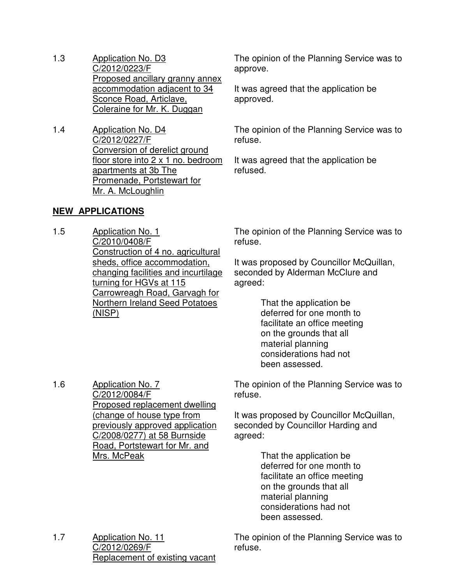- 1.3 Application No. D3 C/2012/0223/F Proposed ancillary granny annex accommodation adjacent to 34 Sconce Road, Articlave, Coleraine for Mr. K. Duggan
- 1.4 Application No. D4 C/2012/0227/F Conversion of derelict ground floor store into 2 x 1 no. bedroom apartments at 3b The Promenade, Portstewart for Mr. A. McLoughlin

# **NEW APPLICATIONS**

1.6 Application No. 7

C/2012/0084/F

Mrs. McPeak

Proposed replacement dwelling (change of house type from previously approved application C/2008/0277) at 58 Burnside Road, Portstewart for Mr. and

1.5 Application No. 1 C/2010/0408/F Construction of 4 no. agricultural sheds, office accommodation, changing facilities and incurtilage turning for HGVs at 115 Carrowreagh Road, Garvagh for Northern Ireland Seed Potatoes (NISP)

The opinion of the Planning Service was to approve.

It was agreed that the application be approved.

The opinion of the Planning Service was to refuse.

It was agreed that the application be refused.

The opinion of the Planning Service was to refuse.

It was proposed by Councillor McQuillan, seconded by Alderman McClure and agreed:

> That the application be deferred for one month to facilitate an office meeting on the grounds that all material planning considerations had not been assessed.

The opinion of the Planning Service was to refuse.

It was proposed by Councillor McQuillan, seconded by Councillor Harding and agreed:

> That the application be deferred for one month to facilitate an office meeting on the grounds that all material planning considerations had not been assessed.

1.7 Application No. 11 C/2012/0269/F Replacement of existing vacant The opinion of the Planning Service was to refuse.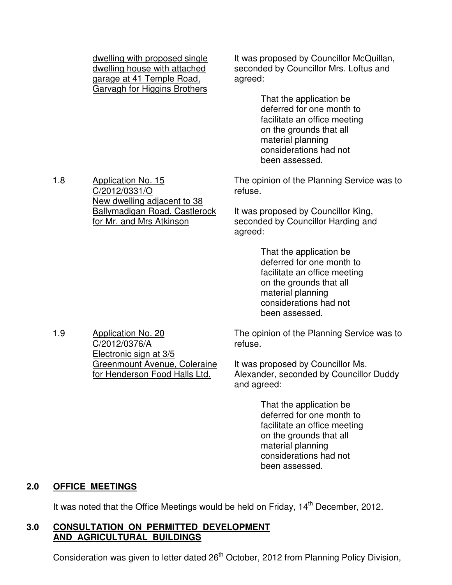dwelling with proposed single dwelling house with attached garage at 41 Temple Road, Garvagh for Higgins Brothers

It was proposed by Councillor McQuillan, seconded by Councillor Mrs. Loftus and agreed:

> That the application be deferred for one month to facilitate an office meeting on the grounds that all material planning considerations had not been assessed.

The opinion of the Planning Service was to refuse.

It was proposed by Councillor King, seconded by Councillor Harding and agreed:

> That the application be deferred for one month to facilitate an office meeting on the grounds that all material planning considerations had not been assessed.

The opinion of the Planning Service was to refuse.

It was proposed by Councillor Ms. Alexander, seconded by Councillor Duddy and agreed:

> That the application be deferred for one month to facilitate an office meeting on the grounds that all material planning considerations had not been assessed.

#### **2.0 OFFICE MEETINGS**

It was noted that the Office Meetings would be held on Friday, 14<sup>th</sup> December. 2012.

#### **3.0 CONSULTATION ON PERMITTED DEVELOPMENT AND AGRICULTURAL BUILDINGS**

Consideration was given to letter dated 26<sup>th</sup> October, 2012 from Planning Policy Division,

1.8 Application No. 15 C/2012/0331/O New dwelling adjacent to 38 Ballymadigan Road, Castlerock for Mr. and Mrs Atkinson

1.9 Application No. 20 C/2012/0376/A Electronic sign at 3/5 Greenmount Avenue, Coleraine for Henderson Food Halls Ltd.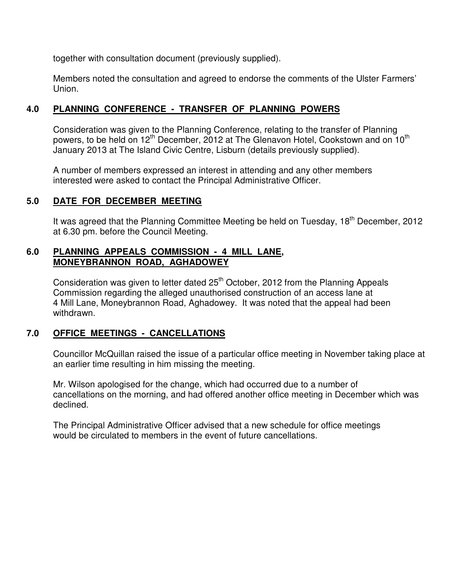together with consultation document (previously supplied).

Members noted the consultation and agreed to endorse the comments of the Ulster Farmers' Union.

# **4.0 PLANNING CONFERENCE - TRANSFER OF PLANNING POWERS**

 Consideration was given to the Planning Conference, relating to the transfer of Planning powers, to be held on  $12<sup>th</sup>$  December, 2012 at The Glenavon Hotel, Cookstown and on  $10<sup>th</sup>$ January 2013 at The Island Civic Centre, Lisburn (details previously supplied).

A number of members expressed an interest in attending and any other members interested were asked to contact the Principal Administrative Officer.

# **5.0 DATE FOR DECEMBER MEETING**

It was agreed that the Planning Committee Meeting be held on Tuesday, 18<sup>th</sup> December, 2012 at 6.30 pm. before the Council Meeting.

# **6.0 PLANNING APPEALS COMMISSION - 4 MILL LANE, MONEYBRANNON ROAD, AGHADOWEY**

Consideration was given to letter dated 25<sup>th</sup> October, 2012 from the Planning Appeals Commission regarding the alleged unauthorised construction of an access lane at 4 Mill Lane, Moneybrannon Road, Aghadowey. It was noted that the appeal had been withdrawn.

# **7.0 OFFICE MEETINGS - CANCELLATIONS**

Councillor McQuillan raised the issue of a particular office meeting in November taking place at an earlier time resulting in him missing the meeting.

Mr. Wilson apologised for the change, which had occurred due to a number of cancellations on the morning, and had offered another office meeting in December which was declined.

 The Principal Administrative Officer advised that a new schedule for office meetings would be circulated to members in the event of future cancellations.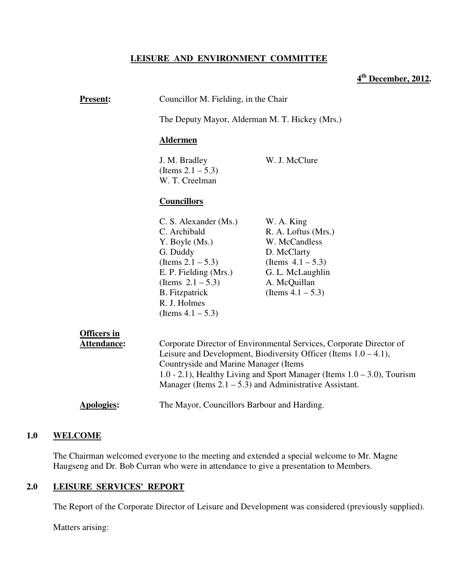#### **LEISURE AND ENVIRONMENT COMMITTEE**

# **4 th December, 2012.**

| <u>Present:</u>                   | Councillor M. Fielding, in the Chair<br>The Deputy Mayor, Alderman M. T. Hickey (Mrs.)                                                                                                                                                                                                                                          |                                                                                                                                                       |  |  |
|-----------------------------------|---------------------------------------------------------------------------------------------------------------------------------------------------------------------------------------------------------------------------------------------------------------------------------------------------------------------------------|-------------------------------------------------------------------------------------------------------------------------------------------------------|--|--|
|                                   |                                                                                                                                                                                                                                                                                                                                 |                                                                                                                                                       |  |  |
|                                   | <b>Aldermen</b>                                                                                                                                                                                                                                                                                                                 |                                                                                                                                                       |  |  |
|                                   | J. M. Bradley<br>(Items $2.1 - 5.3$ )<br>W. T. Creelman                                                                                                                                                                                                                                                                         | W. J. McClure                                                                                                                                         |  |  |
|                                   | <b>Councillors</b>                                                                                                                                                                                                                                                                                                              |                                                                                                                                                       |  |  |
|                                   | C. S. Alexander (Ms.)<br>C. Archibald<br>Y. Boyle (Ms.)<br>G. Duddy<br>(Items $2.1 - 5.3$ )<br>E. P. Fielding (Mrs.)<br>(Items $2.1 - 5.3$ )<br><b>B.</b> Fitzpatrick<br>R. J. Holmes<br>(Items $4.1 - 5.3$ )                                                                                                                   | W. A. King<br>R. A. Loftus (Mrs.)<br>W. McCandless<br>D. McClarty<br>(Items $4.1 - 5.3$ )<br>G. L. McLaughlin<br>A. McQuillan<br>(Items $4.1 - 5.3$ ) |  |  |
| <b>Officers in</b><br>Attendance: | Corporate Director of Environmental Services, Corporate Director of<br>Leisure and Development, Biodiversity Officer (Items $1.0 - 4.1$ ),<br>Countryside and Marine Manager (Items<br>1.0 - 2.1), Healthy Living and Sport Manager (Items $1.0 - 3.0$ ), Tourism<br>Manager (Items $2.1 - 5.3$ ) and Administrative Assistant. |                                                                                                                                                       |  |  |
| <b>Apologies:</b>                 | The Mayor, Councillors Barbour and Harding.                                                                                                                                                                                                                                                                                     |                                                                                                                                                       |  |  |
|                                   |                                                                                                                                                                                                                                                                                                                                 |                                                                                                                                                       |  |  |

#### **1.0 WELCOME**

The Chairman welcomed everyone to the meeting and extended a special welcome to Mr. Magne Haugseng and Dr. Bob Curran who were in attendance to give a presentation to Members.

#### **2.0 LEISURE SERVICES' REPORT**

The Report of the Corporate Director of Leisure and Development was considered (previously supplied).

Matters arising: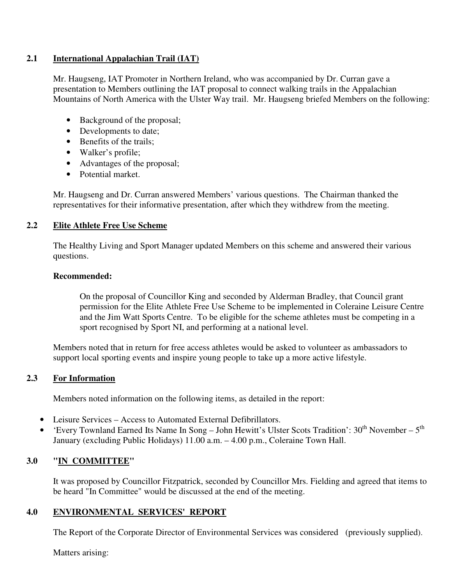#### **2.1 International Appalachian Trail (IAT)**

Mr. Haugseng, IAT Promoter in Northern Ireland, who was accompanied by Dr. Curran gave a presentation to Members outlining the IAT proposal to connect walking trails in the Appalachian Mountains of North America with the Ulster Way trail. Mr. Haugseng briefed Members on the following:

- Background of the proposal;
- Developments to date;
- Benefits of the trails:
- Walker's profile;
- Advantages of the proposal;
- Potential market.

Mr. Haugseng and Dr. Curran answered Members' various questions. The Chairman thanked the representatives for their informative presentation, after which they withdrew from the meeting.

#### **2.2 Elite Athlete Free Use Scheme**

The Healthy Living and Sport Manager updated Members on this scheme and answered their various questions.

#### **Recommended:**

On the proposal of Councillor King and seconded by Alderman Bradley, that Council grant permission for the Elite Athlete Free Use Scheme to be implemented in Coleraine Leisure Centre and the Jim Watt Sports Centre. To be eligible for the scheme athletes must be competing in a sport recognised by Sport NI, and performing at a national level.

Members noted that in return for free access athletes would be asked to volunteer as ambassadors to support local sporting events and inspire young people to take up a more active lifestyle.

#### **2.3 For Information**

Members noted information on the following items, as detailed in the report:

- Leisure Services Access to Automated External Defibrillators.
- 'Every Townland Earned Its Name In Song John Hewitt's Ulster Scots Tradition':  $30<sup>th</sup>$  November  $5<sup>th</sup>$ January (excluding Public Holidays) 11.00 a.m. – 4.00 p.m., Coleraine Town Hall.

#### **3.0 "IN COMMITTEE"**

It was proposed by Councillor Fitzpatrick, seconded by Councillor Mrs. Fielding and agreed that items to be heard "In Committee" would be discussed at the end of the meeting.

#### **4.0 ENVIRONMENTAL SERVICES' REPORT**

The Report of the Corporate Director of Environmental Services was considered (previously supplied).

Matters arising: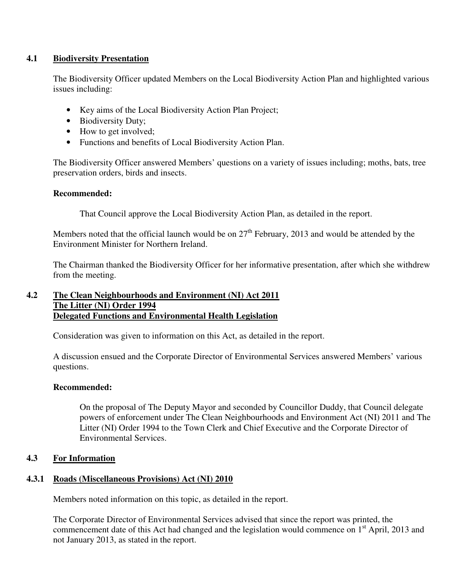#### **4.1 Biodiversity Presentation**

The Biodiversity Officer updated Members on the Local Biodiversity Action Plan and highlighted various issues including:

- Key aims of the Local Biodiversity Action Plan Project;
- Biodiversity Duty;
- How to get involved;
- Functions and benefits of Local Biodiversity Action Plan.

The Biodiversity Officer answered Members' questions on a variety of issues including; moths, bats, tree preservation orders, birds and insects.

#### **Recommended:**

That Council approve the Local Biodiversity Action Plan, as detailed in the report.

Members noted that the official launch would be on  $27<sup>th</sup>$  February, 2013 and would be attended by the Environment Minister for Northern Ireland.

The Chairman thanked the Biodiversity Officer for her informative presentation, after which she withdrew from the meeting.

#### **4.2 The Clean Neighbourhoods and Environment (NI) Act 2011 The Litter (NI) Order 1994 Delegated Functions and Environmental Health Legislation**

Consideration was given to information on this Act, as detailed in the report.

A discussion ensued and the Corporate Director of Environmental Services answered Members' various questions.

#### **Recommended:**

On the proposal of The Deputy Mayor and seconded by Councillor Duddy, that Council delegate powers of enforcement under The Clean Neighbourhoods and Environment Act (NI) 2011 and The Litter (NI) Order 1994 to the Town Clerk and Chief Executive and the Corporate Director of Environmental Services.

#### **4.3 For Information**

#### **4.3.1 Roads (Miscellaneous Provisions) Act (NI) 2010**

Members noted information on this topic, as detailed in the report.

The Corporate Director of Environmental Services advised that since the report was printed, the commencement date of this Act had changed and the legislation would commence on 1<sup>st</sup> April, 2013 and not January 2013, as stated in the report.